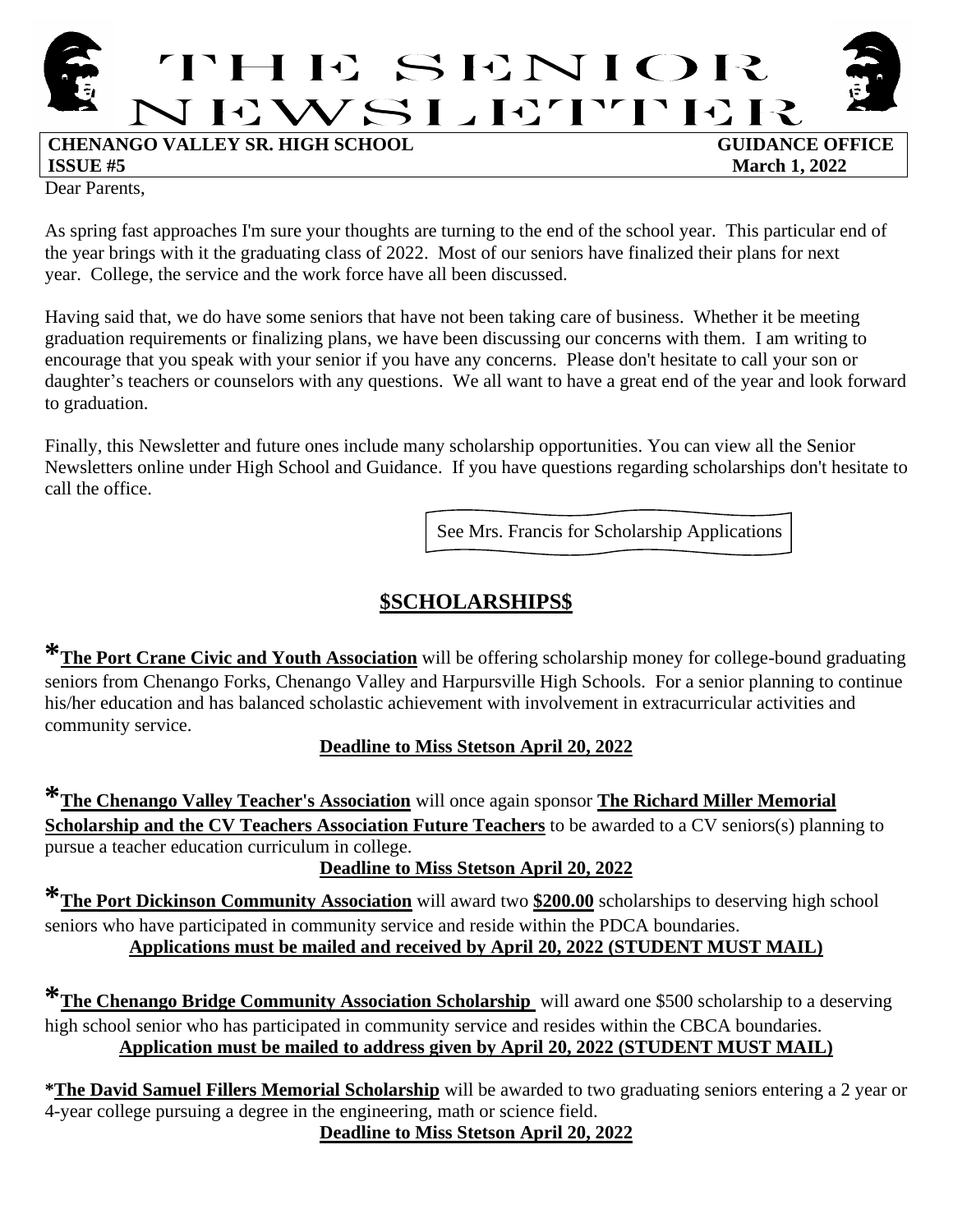

**ISSUE #5** March 1, 2022

Dear Parents,

As spring fast approaches I'm sure your thoughts are turning to the end of the school year. This particular end of the year brings with it the graduating class of 2022. Most of our seniors have finalized their plans for next year. College, the service and the work force have all been discussed.

Having said that, we do have some seniors that have not been taking care of business. Whether it be meeting graduation requirements or finalizing plans, we have been discussing our concerns with them. I am writing to encourage that you speak with your senior if you have any concerns. Please don't hesitate to call your son or daughter's teachers or counselors with any questions. We all want to have a great end of the year and look forward to graduation.

Finally, this Newsletter and future ones include many scholarship opportunities. You can view all the Senior Newsletters online under High School and Guidance. If you have questions regarding scholarships don't hesitate to call the office.

See Mrs. Francis for Scholarship Applications

# **\$SCHOLARSHIPS\$**

**\*The Port Crane Civic and Youth Association** will be offering scholarship money for college-bound graduating seniors from Chenango Forks, Chenango Valley and Harpursville High Schools. For a senior planning to continue his/her education and has balanced scholastic achievement with involvement in extracurricular activities and community service.

# **Deadline to Miss Stetson April 20, 2022**

**\*The Chenango Valley Teacher's Association** will once again sponsor **The Richard Miller Memorial Scholarship and the CV Teachers Association Future Teachers** to be awarded to a CV seniors(s) planning to pursue a teacher education curriculum in college.

**Deadline to Miss Stetson April 20, 2022**

**\*The Port Dickinson Community Association** will award two **\$200.00** scholarships to deserving high school seniors who have participated in community service and reside within the PDCA boundaries. **Applications must be mailed and received by April 20, 2022 (STUDENT MUST MAIL)**

**\*The Chenango Bridge Community Association Scholarship** will award one \$500 scholarship to a deserving high school senior who has participated in community service and resides within the CBCA boundaries. **Application must be mailed to address given by April 20, 2022 (STUDENT MUST MAIL)**

**\*The David Samuel Fillers Memorial Scholarship** will be awarded to two graduating seniors entering a 2 year or 4-year college pursuing a degree in the engineering, math or science field.

**Deadline to Miss Stetson April 20, 2022**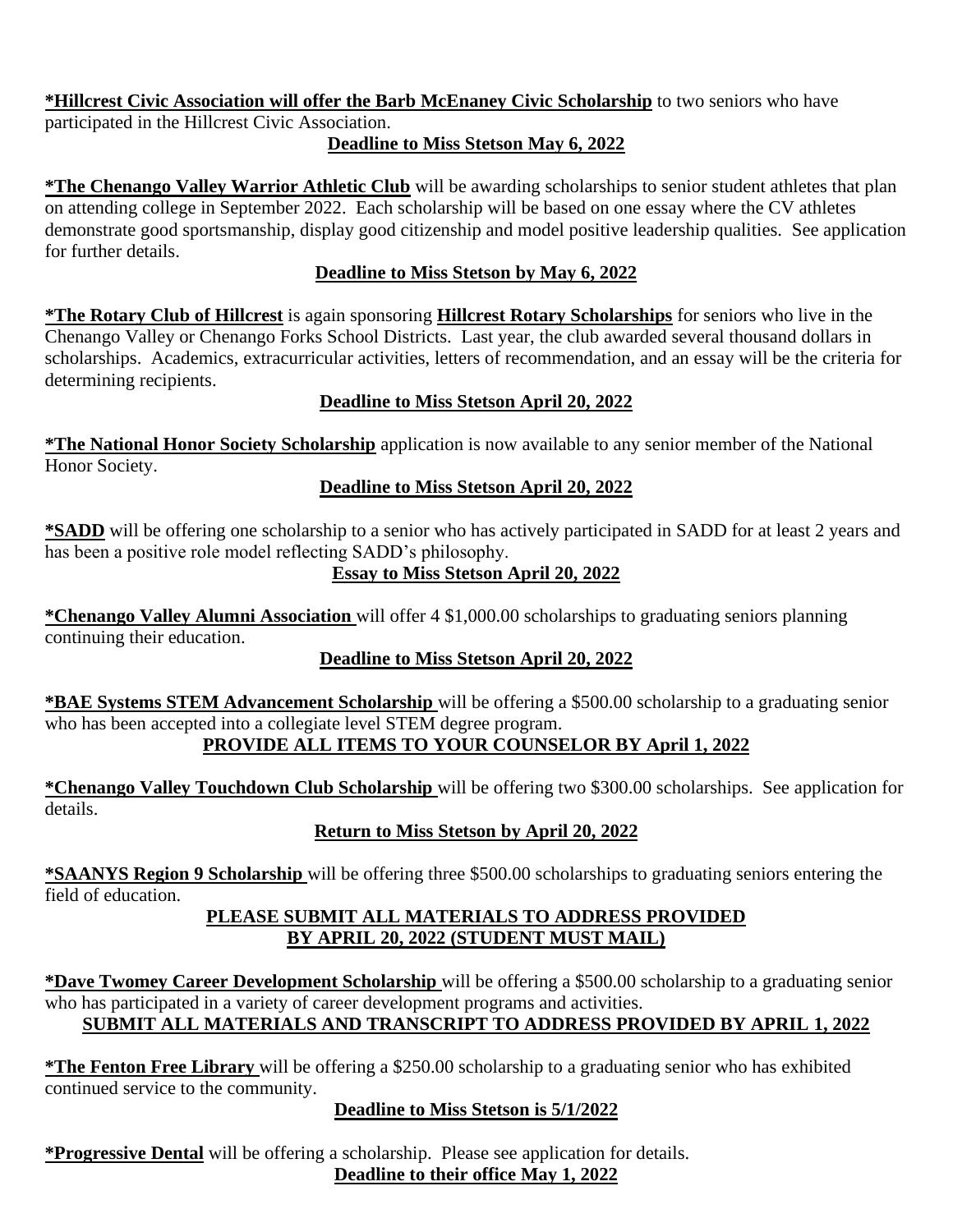**\*Hillcrest Civic Association will offer the Barb McEnaney Civic Scholarship** to two seniors who have participated in the Hillcrest Civic Association.

#### **Deadline to Miss Stetson May 6, 2022**

**\*The Chenango Valley Warrior Athletic Club** will be awarding scholarships to senior student athletes that plan on attending college in September 2022. Each scholarship will be based on one essay where the CV athletes demonstrate good sportsmanship, display good citizenship and model positive leadership qualities. See application for further details.

#### **Deadline to Miss Stetson by May 6, 2022**

**\*The Rotary Club of Hillcrest** is again sponsoring **Hillcrest Rotary Scholarships** for seniors who live in the Chenango Valley or Chenango Forks School Districts. Last year, the club awarded several thousand dollars in scholarships. Academics, extracurricular activities, letters of recommendation, and an essay will be the criteria for determining recipients.

## **Deadline to Miss Stetson April 20, 2022**

**\*The National Honor Society Scholarship** application is now available to any senior member of the National Honor Society.

## **Deadline to Miss Stetson April 20, 2022**

**\*SADD** will be offering one scholarship to a senior who has actively participated in SADD for at least 2 years and has been a positive role model reflecting SADD's philosophy.

# **Essay to Miss Stetson April 20, 2022**

**\*Chenango Valley Alumni Association** will offer 4 \$1,000.00 scholarships to graduating seniors planning continuing their education.

# **Deadline to Miss Stetson April 20, 2022**

**\*BAE Systems STEM Advancement Scholarship** will be offering a \$500.00 scholarship to a graduating senior who has been accepted into a collegiate level STEM degree program.

# **PROVIDE ALL ITEMS TO YOUR COUNSELOR BY April 1, 2022**

**\*Chenango Valley Touchdown Club Scholarship** will be offering two \$300.00 scholarships. See application for details.

# **Return to Miss Stetson by April 20, 2022**

**\*SAANYS Region 9 Scholarship** will be offering three \$500.00 scholarships to graduating seniors entering the field of education.

#### **PLEASE SUBMIT ALL MATERIALS TO ADDRESS PROVIDED BY APRIL 20, 2022 (STUDENT MUST MAIL)**

**\*Dave Twomey Career Development Scholarship** will be offering a \$500.00 scholarship to a graduating senior who has participated in a variety of career development programs and activities. **SUBMIT ALL MATERIALS AND TRANSCRIPT TO ADDRESS PROVIDED BY APRIL 1, 2022**

**\*The Fenton Free Library** will be offering a \$250.00 scholarship to a graduating senior who has exhibited continued service to the community.

#### **Deadline to Miss Stetson is 5/1/2022**

**\*Progressive Dental** will be offering a scholarship. Please see application for details. **Deadline to their office May 1, 2022**